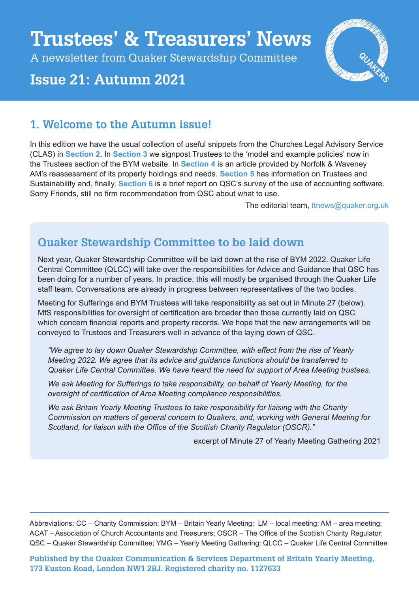# **Trustees' & Treasurers' News**

A newsletter from Quaker Stewardship Committee

# **Issue 21: Autumn 2021**



## **1. Welcome to the Autumn issue!**

In this edition we have the usual collection of useful snippets from the Churches Legal Advisory Service (CLAS) in **Section 2**. In **Section 3** we signpost Trustees to the 'model and example policies' now in the Trustees section of the BYM website. In **Section 4** is an article provided by Norfolk & Waveney AM's reassessment of its property holdings and needs. **Section 5** has information on Trustees and Sustainability and, finally, **Section 6** is a brief report on QSC's survey of the use of accounting software. Sorry Friends, still no firm recommendation from QSC about what to use.

The editorial team, ttnews@quaker.org.uk

## **Quaker Stewardship Committee to be laid down**

Next year, Quaker Stewardship Committee will be laid down at the rise of BYM 2022. Quaker Life Central Committee (QLCC) will take over the responsibilities for Advice and Guidance that QSC has been doing for a number of years. In practice, this will mostly be organised through the Quaker Life staff team. Conversations are already in progress between representatives of the two bodies.

Meeting for Sufferings and BYM Trustees will take responsibility as set out in Minute 27 (below). MfS responsibilities for oversight of certification are broader than those currently laid on QSC which concern financial reports and property records. We hope that the new arrangements will be conveyed to Trustees and Treasurers well in advance of the laying down of QSC.

*"We agree to lay down Quaker Stewardship Committee, with effect from the rise of Yearly Meeting 2022. We agree that its advice and guidance functions should be transferred to Quaker Life Central Committee. We have heard the need for support of Area Meeting trustees.*

*We ask Meeting for Sufferings to take responsibility, on behalf of Yearly Meeting, for the oversight of certification of Area Meeting compliance responsibilities.*

*We ask Britain Yearly Meeting Trustees to take responsibility for liaising with the Charity Commission on matters of general concern to Quakers, and, working with General Meeting for Scotland, for liaison with the Office of the Scottish Charity Regulator (OSCR)."*

excerpt of Minute 27 of Yearly Meeting Gathering 2021

Abbreviations: CC – Charity Commission; BYM – Britain Yearly Meeting; LM – local meeting; AM – area meeting; ACAT – Association of Church Accountants and Treasurers; OSCR – The Office of the Scottish Charity Regulator; QSC – Quaker Stewardship Committee; YMG – Yearly Meeting Gathering; QLCC – Quaker Life Central Committee

**Published by the Quaker Communication & Services Department of Britain Yearly Meeting, 173 Euston Road, London NW1 2BJ. Registered charity no. 1127633**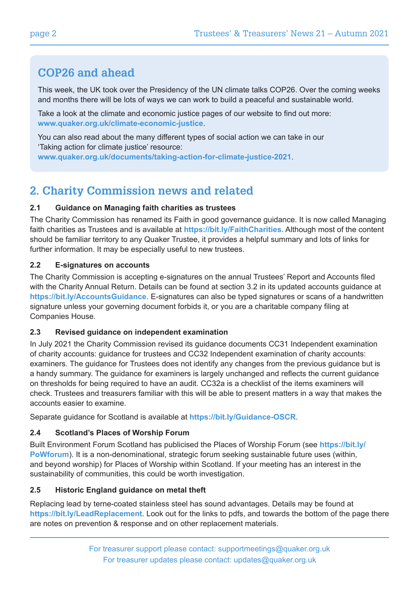## **COP26 and ahead**

This week, the UK took over the Presidency of the UN climate talks COP26. Over the coming weeks and months there will be lots of ways we can work to build a peaceful and sustainable world.

Take a look at the climate and economic justice pages of our website to find out more: **www.quaker.org.uk/climate-economic-justice**.

You can also read about the many different types of social action we can take in our 'Taking action for climate justice' resource:

**www.quaker.org.uk/documents/taking-action-for-climate-justice-2021**.

## **2. Charity Commission news and related**

#### **2.1 Guidance on Managing faith charities as trustees**

The Charity Commission has renamed its Faith in good governance guidance. It is now called Managing faith charities as Trustees and is available at **https://bit.ly/FaithCharities**. Although most of the content should be familiar territory to any Quaker Trustee, it provides a helpful summary and lots of links for further information. It may be especially useful to new trustees.

#### **2.2 E-signatures on accounts**

The Charity Commission is accepting e-signatures on the annual Trustees' Report and Accounts filed with the Charity Annual Return. Details can be found at section 3.2 in its updated accounts guidance at **https://bit.ly/AccountsGuidance**. E-signatures can also be typed signatures or scans of a handwritten signature unless your governing document forbids it, or you are a charitable company filing at Companies House.

#### **2.3 Revised guidance on independent examination**

In July 2021 the Charity Commission revised its guidance documents CC31 Independent examination of charity accounts: guidance for trustees and CC32 Independent examination of charity accounts: examiners. The guidance for Trustees does not identify any changes from the previous guidance but is a handy summary. The guidance for examiners is largely unchanged and reflects the current guidance on thresholds for being required to have an audit. CC32a is a checklist of the items examiners will check. Trustees and treasurers familiar with this will be able to present matters in a way that makes the accounts easier to examine.

Separate guidance for Scotland is available at **https://bit.ly/Guidance-OSCR**.

#### **2.4 Scotland's Places of Worship Forum**

Built Environment Forum Scotland has publicised the Places of Worship Forum (see **https://bit.ly/ PoWforum**). It is a non-denominational, strategic forum seeking sustainable future uses (within, and beyond worship) for Places of Worship within Scotland. If your meeting has an interest in the sustainability of communities, this could be worth investigation.

#### **2.5 Historic England guidance on metal theft**

Replacing lead by terne-coated stainless steel has sound advantages. Details may be found at **https://bit.ly/LeadReplacement**. Look out for the links to pdfs, and towards the bottom of the page there are notes on prevention & response and on other replacement materials.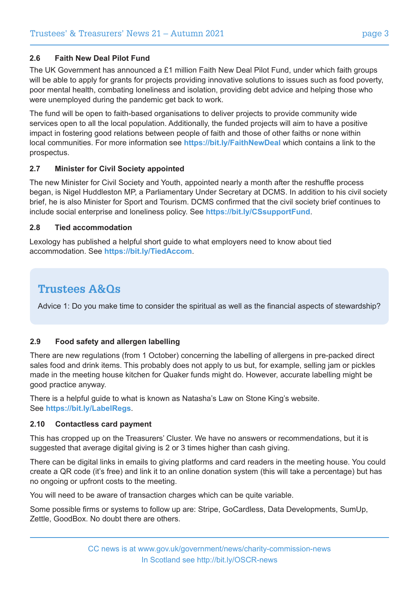#### **2.6 Faith New Deal Pilot Fund**

The UK Government has announced a £1 million Faith New Deal Pilot Fund, under which faith groups will be able to apply for grants for projects providing innovative solutions to issues such as food poverty, poor mental health, combating loneliness and isolation, providing debt advice and helping those who were unemployed during the pandemic get back to work.

The fund will be open to faith-based organisations to deliver projects to provide community wide services open to all the local population. Additionally, the funded projects will aim to have a positive impact in fostering good relations between people of faith and those of other faiths or none within local communities. For more information see **https://bit.ly/FaithNewDeal** which contains a link to the prospectus.

#### **2.7 Minister for Civil Society appointed**

The new Minister for Civil Society and Youth, appointed nearly a month after the reshuffle process began, is Nigel Huddleston MP, a Parliamentary Under Secretary at DCMS. In addition to his civil society brief, he is also Minister for Sport and Tourism. DCMS confirmed that the civil society brief continues to include social enterprise and loneliness policy. See **https://bit.ly/CSsupportFund**.

#### **2.8 Tied accommodation**

Lexology has published a helpful short guide to what employers need to know about tied accommodation. See **https://bit.ly/TiedAccom**.

## **Trustees A&Qs**

Advice 1: Do you make time to consider the spiritual as well as the financial aspects of stewardship?

#### **2.9 Food safety and allergen labelling**

There are new regulations (from 1 October) concerning the labelling of allergens in pre-packed direct sales food and drink items. This probably does not apply to us but, for example, selling jam or pickles made in the meeting house kitchen for Quaker funds might do. However, accurate labelling might be good practice anyway.

There is a helpful guide to what is known as Natasha's Law on Stone King's website. See **https://bit.ly/LabelRegs**.

#### **2.10 Contactless card payment**

This has cropped up on the Treasurers' Cluster. We have no answers or recommendations, but it is suggested that average digital giving is 2 or 3 times higher than cash giving.

There can be digital links in emails to giving platforms and card readers in the meeting house. You could create a QR code (it's free) and link it to an online donation system (this will take a percentage) but has no ongoing or upfront costs to the meeting.

You will need to be aware of transaction charges which can be quite variable.

Some possible firms or systems to follow up are: Stripe, GoCardless, Data Developments, SumUp, Zettle, GoodBox. No doubt there are others.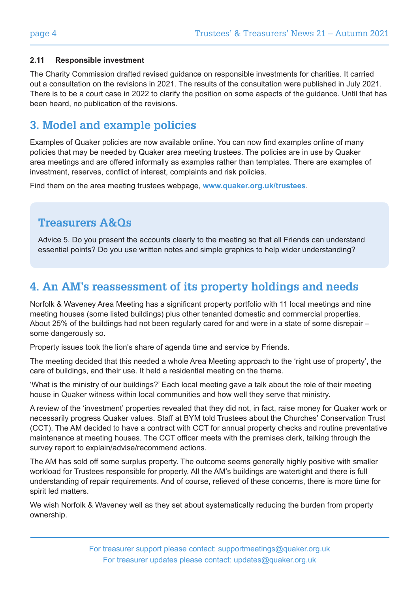#### **2.11 Responsible investment**

The Charity Commission drafted revised guidance on responsible investments for charities. It carried out a consultation on the revisions in 2021. The results of the consultation were published in July 2021. There is to be a court case in 2022 to clarify the position on some aspects of the guidance. Until that has been heard, no publication of the revisions.

## **3. Model and example policies**

Examples of Quaker policies are now available online. You can now find examples online of many policies that may be needed by Quaker area meeting trustees. The policies are in use by Quaker area meetings and are offered informally as examples rather than templates. There are examples of investment, reserves, conflict of interest, complaints and risk policies.

Find them on the area meeting trustees webpage, **www.quaker.org.uk/trustees**.

## **Treasurers A&Qs**

Advice 5. Do you present the accounts clearly to the meeting so that all Friends can understand essential points? Do you use written notes and simple graphics to help wider understanding?

## **4. An AM's reassessment of its property holdings and needs**

Norfolk & Waveney Area Meeting has a significant property portfolio with 11 local meetings and nine meeting houses (some listed buildings) plus other tenanted domestic and commercial properties. About 25% of the buildings had not been regularly cared for and were in a state of some disrepair – some dangerously so.

Property issues took the lion's share of agenda time and service by Friends.

The meeting decided that this needed a whole Area Meeting approach to the 'right use of property', the care of buildings, and their use. It held a residential meeting on the theme.

'What is the ministry of our buildings?' Each local meeting gave a talk about the role of their meeting house in Quaker witness within local communities and how well they serve that ministry.

A review of the 'investment' properties revealed that they did not, in fact, raise money for Quaker work or necessarily progress Quaker values. Staff at BYM told Trustees about the Churches' Conservation Trust (CCT). The AM decided to have a contract with CCT for annual property checks and routine preventative maintenance at meeting houses. The CCT officer meets with the premises clerk, talking through the survey report to explain/advise/recommend actions.

The AM has sold off some surplus property. The outcome seems generally highly positive with smaller workload for Trustees responsible for property. All the AM's buildings are watertight and there is full understanding of repair requirements. And of course, relieved of these concerns, there is more time for spirit led matters.

We wish Norfolk & Waveney well as they set about systematically reducing the burden from property ownership.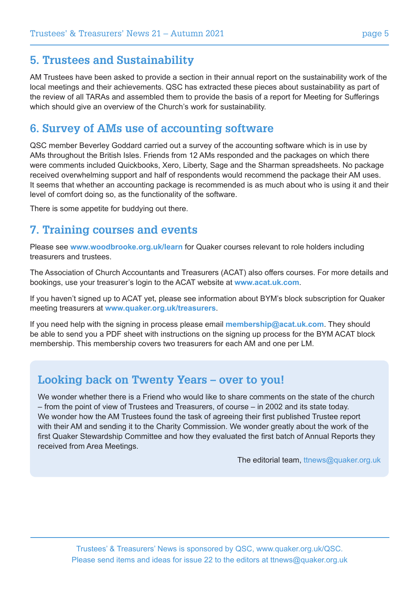## **5. Trustees and Sustainability**

AM Trustees have been asked to provide a section in their annual report on the sustainability work of the local meetings and their achievements. QSC has extracted these pieces about sustainability as part of the review of all TARAs and assembled them to provide the basis of a report for Meeting for Sufferings which should give an overview of the Church's work for sustainability.

### **6. Survey of AMs use of accounting software**

QSC member Beverley Goddard carried out a survey of the accounting software which is in use by AMs throughout the British Isles. Friends from 12 AMs responded and the packages on which there were comments included Quickbooks, Xero, Liberty, Sage and the Sharman spreadsheets. No package received overwhelming support and half of respondents would recommend the package their AM uses. It seems that whether an accounting package is recommended is as much about who is using it and their level of comfort doing so, as the functionality of the software.

There is some appetite for buddying out there.

## **7. Training courses and events**

Please see **www.woodbrooke.org.uk/learn** for Quaker courses relevant to role holders including treasurers and trustees.

The Association of Church Accountants and Treasurers (ACAT) also offers courses. For more details and bookings, use your treasurer's login to the ACAT website at **www.acat.uk.com**.

If you haven't signed up to ACAT yet, please see information about BYM's block subscription for Quaker meeting treasurers at **www.quaker.org.uk/treasurers**.

If you need help with the signing in process please email **membership@acat.uk.com**. They should be able to send you a PDF sheet with instructions on the signing up process for the BYM ACAT block membership. This membership covers two treasurers for each AM and one per LM.

### **Looking back on Twenty Years – over to you!**

We wonder whether there is a Friend who would like to share comments on the state of the church – from the point of view of Trustees and Treasurers, of course – in 2002 and its state today. We wonder how the AM Trustees found the task of agreeing their first published Trustee report with their AM and sending it to the Charity Commission. We wonder greatly about the work of the first Quaker Stewardship Committee and how they evaluated the first batch of Annual Reports they received from Area Meetings.

The editorial team, ttnews@quaker.org.uk